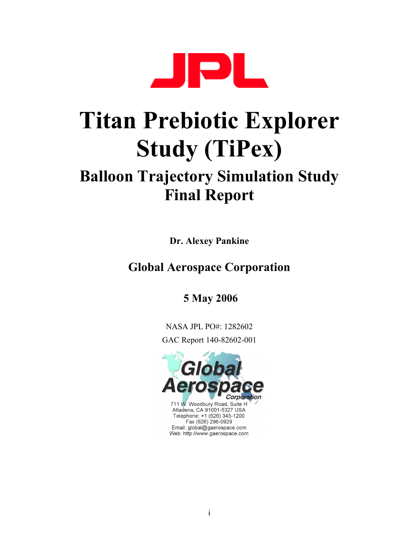

# **Titan Prebiotic Explorer Study (TiPex)**

# **Balloon Trajectory Simulation Study Final Report**

**Dr. Alexey Pankine** 

# **Global Aerospace Corporation**

 **5 May 2006**

NASA JPL PO#: 1282602 GAC Report 140-82602-001

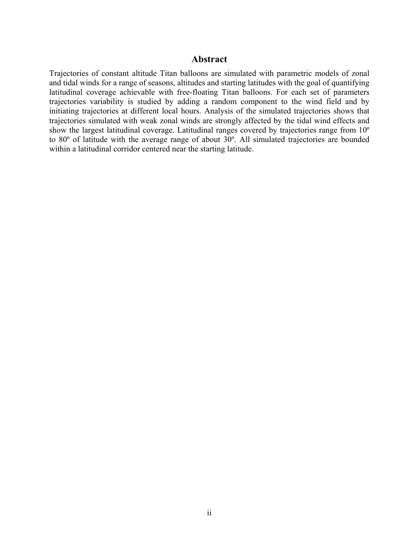#### **Abstract**

Trajectories of constant altitude Titan balloons are simulated with parametric models of zonal and tidal winds for a range of seasons, altitudes and starting latitudes with the goal of quantifying latitudinal coverage achievable with free-floating Titan balloons. For each set of parameters trajectories variability is studied by adding a random component to the wind field and by initiating trajectories at different local hours. Analysis of the simulated trajectories shows that trajectories simulated with weak zonal winds are strongly affected by the tidal wind effects and show the largest latitudinal coverage. Latitudinal ranges covered by trajectories range from 10º to 80º of latitude with the average range of about 30º. All simulated trajectories are bounded within a latitudinal corridor centered near the starting latitude.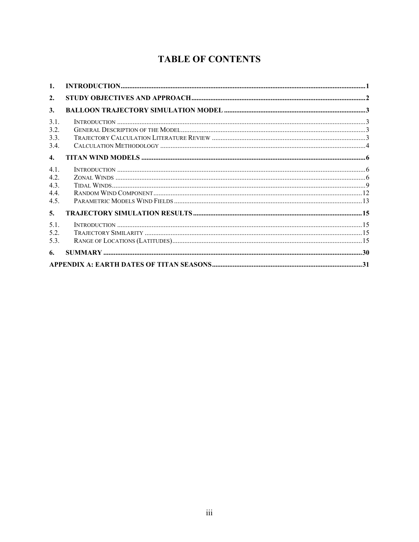# **TABLE OF CONTENTS**

| 1.                                 |  |  |  |
|------------------------------------|--|--|--|
| 2.                                 |  |  |  |
| 3.                                 |  |  |  |
| 3.1.<br>3.2.<br>3.3.<br>3.4.       |  |  |  |
| $\mathbf{4}$                       |  |  |  |
| 4.1.<br>4.2.<br>43<br>4.4.<br>4.5. |  |  |  |
| 5.                                 |  |  |  |
| 5.1.<br>5.2.<br>5.3.               |  |  |  |
| 6.                                 |  |  |  |
|                                    |  |  |  |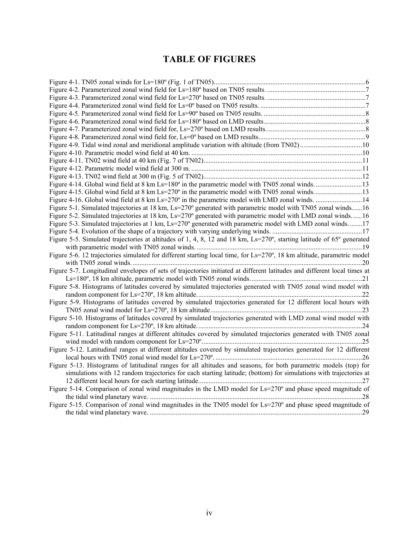# **TABLE OF FIGURES**

| Figure 4-9. Tidal wind zonal and meridional amplitude variation with altitude (from TN02)10                              |  |
|--------------------------------------------------------------------------------------------------------------------------|--|
|                                                                                                                          |  |
|                                                                                                                          |  |
|                                                                                                                          |  |
|                                                                                                                          |  |
|                                                                                                                          |  |
|                                                                                                                          |  |
| Figure 4-16. Global wind field at 8 km Ls=270° in the parametric model with LMD zonal winds. 14                          |  |
| Figure 5-1. Simulated trajectories at 18 km, Ls=270° generated with parametric model with TN05 zonal winds16             |  |
| Figure 5-2. Simulated trajectories at 18 km, Ls=270° generated with parametric model with LMD zonal winds16              |  |
| Figure 5-3. Simulated trajectories at 1 km, Ls=270° generated with parametric model with LMD zonal winds17               |  |
|                                                                                                                          |  |
| Figure 5-5. Simulated trajectories at altitudes of 1, 4, 8, 12 and 18 km, Ls=270°, starting latitude of 65° generated    |  |
|                                                                                                                          |  |
| Figure 5-6. 12 trajectories simulated for different starting local time, for Ls=270°, 18 km altitude, parametric model   |  |
|                                                                                                                          |  |
| Figure 5-7. Longitudinal envelopes of sets of trajectories initiated at different latitudes and different local times at |  |
|                                                                                                                          |  |
| Figure 5-8. Histograms of latitudes covered by simulated trajectories generated with TN05 zonal wind model with          |  |
|                                                                                                                          |  |
| Figure 5-9. Histograms of latitudes covered by simulated trajectories generated for 12 different local hours with        |  |
|                                                                                                                          |  |
| Figure 5-10. Histograms of latitudes covered by simulated trajectories generated with LMD zonal wind model with          |  |
|                                                                                                                          |  |
| Figure 5-11. Latitudinal ranges at different altitudes covered by simulated trajectories generated with TN05 zonal       |  |
|                                                                                                                          |  |
| Figure 5-12. Latitudinal ranges at different altitudes covered by simulated trajectories generated for 12 different      |  |
|                                                                                                                          |  |
| Figure 5-13. Histograms of latitudinal ranges for all altitudes and seasons, for both parametric models (top) for        |  |
| simulations with 12 random trajectories for each starting latitude; (bottom) for simulations with trajectories at        |  |
|                                                                                                                          |  |
| Figure 5-14. Comparison of zonal wind magnitudes in the LMD model for Ls=270° and phase speed magnitude of               |  |
|                                                                                                                          |  |
| Figure 5-15. Comparison of zonal wind magnitudes in the TN05 model for $Ls=270^{\circ}$ and phase speed magnitude of     |  |
|                                                                                                                          |  |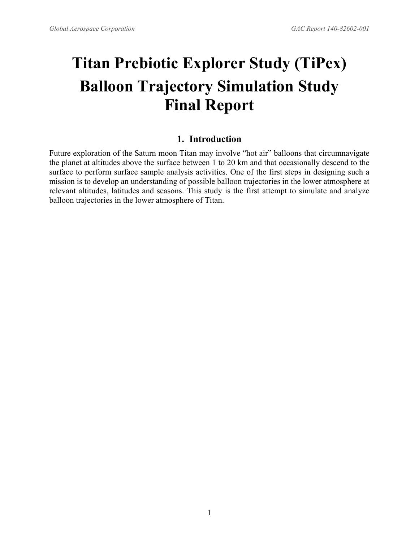# <span id="page-4-0"></span>**Titan Prebiotic Explorer Study (TiPex) Balloon Trajectory Simulation Study Final Report**

# **1. Introduction**

Future exploration of the Saturn moon Titan may involve "hot air" balloons that circumnavigate the planet at altitudes above the surface between 1 to 20 km and that occasionally descend to the surface to perform surface sample analysis activities. One of the first steps in designing such a mission is to develop an understanding of possible balloon trajectories in the lower atmosphere at relevant altitudes, latitudes and seasons. This study is the first attempt to simulate and analyze balloon trajectories in the lower atmosphere of Titan.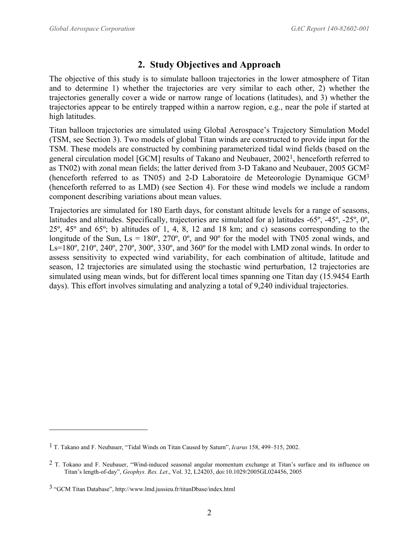# <span id="page-5-6"></span><span id="page-5-5"></span><span id="page-5-4"></span>**2. Study Objectives and Approach**

<span id="page-5-0"></span>The objective of this study is to simulate balloon trajectories in the lower atmosphere of Titan and to determine 1) whether the trajectories are very similar to each other, 2) whether the trajectories generally cover a wide or narrow range of locations (latitudes), and 3) whether the trajectories appear to be entirely trapped within a narrow region, e.g., near the pole if started at high latitudes.

Titan balloon trajectories are simulated using Global Aerospace's Trajectory Simulation Model (TSM, see Section [3\)](#page-6-1). Two models of global Titan winds are constructed to provide input for the TSM. These models are constructed by combining parameterized tidal wind fields (based on the general circulation model [GCM] results of Takano and Neubauer, 2002[1,](#page-5-1) henceforth referred to as TN02) with zonal mean fields; the latter derived from 3-D Takano and Neubauer, 2005 GCM[2](#page-5-2) (henceforth referred to as TN05) and 2-D Laboratoire de Meteorologie Dynamique GCM[3](#page-5-3) (henceforth referred to as LMD) (see Section [4\)](#page-9-1). For these wind models we include a random component describing variations about mean values.

Trajectories are simulated for 180 Earth days, for constant altitude levels for a range of seasons, latitudes and altitudes. Specifically, trajectories are simulated for a) latitudes -65º, -45º, -25º, 0º, 25º, 45º and 65º; b) altitudes of 1, 4, 8, 12 and 18 km; and c) seasons corresponding to the longitude of the Sun,  $\text{Ls} = 180^\circ$ ,  $270^\circ$ ,  $0^\circ$ , and  $90^\circ$  for the model with TN05 zonal winds, and Ls=180°, 210°, 240°, 270°, 300°, 330°, and 360° for the model with LMD zonal winds. In order to assess sensitivity to expected wind variability, for each combination of altitude, latitude and season, 12 trajectories are simulated using the stochastic wind perturbation, 12 trajectories are simulated using mean winds, but for different local times spanning one Titan day (15.9454 Earth days). This effort involves simulating and analyzing a total of 9,240 individual trajectories.

1

<span id="page-5-1"></span><sup>1</sup> T. Takano and F. Neubauer, "Tidal Winds on Titan Caused by Saturn", *Icarus* 158, 499–515, 2002.

<span id="page-5-2"></span><sup>&</sup>lt;sup>2</sup> T. Tokano and F. Neubauer, "Wind-induced seasonal angular momentum exchange at Titan's surface and its influence on Titan's length-of-day", *Geophys. Res. Let*., Vol. 32, L24203, doi:10.1029/2005GL024456, 2005

<span id="page-5-3"></span><sup>3 &</sup>quot;GCM Titan Database", http://www.lmd.jussieu.fr/titanDbase/index.html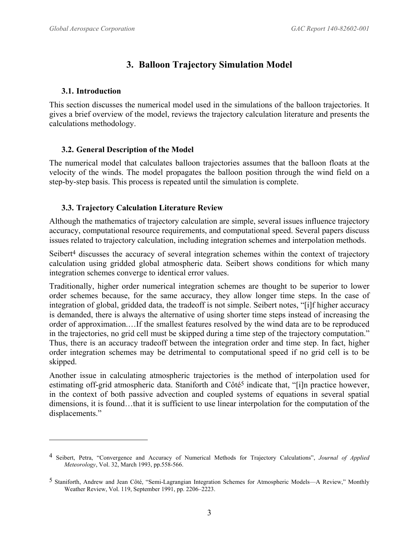# <span id="page-6-1"></span>**3. Balloon Trajectory Simulation Model**

#### <span id="page-6-0"></span>**3.1. Introduction**

1

This section discusses the numerical model used in the simulations of the balloon trajectories. It gives a brief overview of the model, reviews the trajectory calculation literature and presents the calculations methodology.

# **3.2. General Description of the Model**

The numerical model that calculates balloon trajectories assumes that the balloon floats at the velocity of the winds. The model propagates the balloon position through the wind field on a step-by-step basis. This process is repeated until the simulation is complete.

# **3.3. Trajectory Calculation Literature Review**

Although the mathematics of trajectory calculation are simple, several issues influence trajectory accuracy, computational resource requirements, and computational speed. Several papers discuss issues related to trajectory calculation, including integration schemes and interpolation methods.

Seibert<sup>4</sup> discusses the accuracy of several integration schemes within the context of trajectory calculation using gridded global atmospheric data. Seibert shows conditions for which many integration schemes converge to identical error values.

Traditionally, higher order numerical integration schemes are thought to be superior to lower order schemes because, for the same accuracy, they allow longer time steps. In the case of integration of global, gridded data, the tradeoff is not simple. Seibert notes, "[i]f higher accuracy is demanded, there is always the alternative of using shorter time steps instead of increasing the order of approximation.…If the smallest features resolved by the wind data are to be reproduced in the trajectories, no grid cell must be skipped during a time step of the trajectory computation." Thus, there is an accuracy tradeoff between the integration order and time step. In fact, higher order integration schemes may be detrimental to computational speed if no grid cell is to be skipped.

Another issue in calculating atmospheric trajectories is the method of interpolation used for estimating off-grid atmospheric data. Staniforth and Côté<sup>5</sup> indicate that, "[i]n practice however, in the context of both passive advection and coupled systems of equations in several spatial dimensions, it is found...that it is sufficient to use linear interpolation for the computation of the displacements."

<span id="page-6-2"></span><sup>4</sup> Seibert, Petra, "Convergence and Accuracy of Numerical Methods for Trajectory Calculations", *Journal of Applied Meteorology*, Vol. 32, March 1993, pp.558-566.

<span id="page-6-3"></span><sup>5</sup> Staniforth, Andrew and Jean Côté, "Semi-Lagrangian Integration Schemes for Atmospheric Models—A Review," Monthly Weather Review, Vol. 119, September 1991, pp. 2206–2223.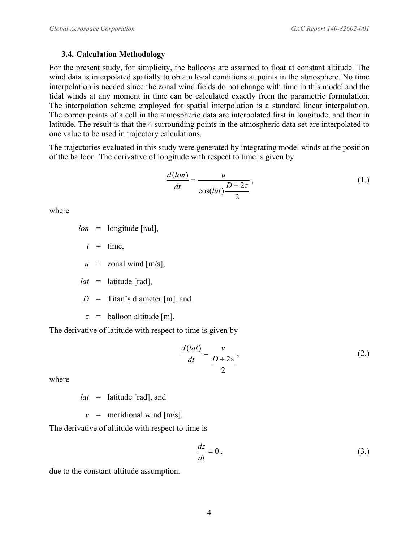#### <span id="page-7-0"></span>**3.4. Calculation Methodology**

For the present study, for simplicity, the balloons are assumed to float at constant altitude. The wind data is interpolated spatially to obtain local conditions at points in the atmosphere. No time interpolation is needed since the zonal wind fields do not change with time in this model and the tidal winds at any moment in time can be calculated exactly from the parametric formulation. The interpolation scheme employed for spatial interpolation is a standard linear interpolation. The corner points of a cell in the atmospheric data are interpolated first in longitude, and then in latitude. The result is that the 4 surrounding points in the atmospheric data set are interpolated to one value to be used in trajectory calculations.

The trajectories evaluated in this study were generated by integrating model winds at the position of the balloon. The derivative of longitude with respect to time is given by

$$
\frac{d(\text{lon})}{dt} = \frac{u}{\cos(\text{lat})\frac{D+2z}{2}},\tag{1.}
$$

where

$$
lon =
$$
 longitude [rad],

 $t =$  time,

 $u =$ zonal wind [m/s],

 $lat =$  latitude [rad],

 $D =$  Titan's diameter [m], and

*z* = balloon altitude [m].

The derivative of latitude with respect to time is given by

$$
\frac{d(lat)}{dt} = \frac{v}{\frac{D+2z}{2}},
$$
\n(2.)

where

*lat* = latitude [rad], and

 $v =$  meridional wind [m/s].

The derivative of altitude with respect to time is

$$
\frac{dz}{dt} = 0\,,\tag{3.}
$$

due to the constant-altitude assumption.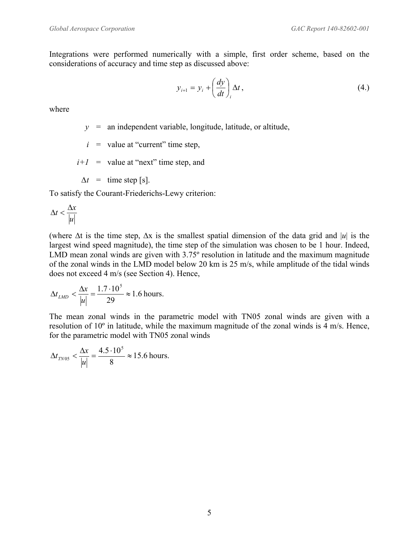Integrations were performed numerically with a simple, first order scheme, based on the considerations of accuracy and time step as discussed above:

$$
y_{i+1} = y_i + \left(\frac{dy}{dt}\right)_i \Delta t, \tag{4.}
$$

where

- *y* = an independent variable, longitude, latitude, or altitude,
- $i =$  value at "current" time step,
- $i+1$  = value at "next" time step, and
- $\Delta t =$  time step [s].

To satisfy the Courant-Friederichs-Lewy criterion:

$$
\Delta t < \frac{\Delta x}{|u|}
$$

(where ∆t is the time step, ∆x is the smallest spatial dimension of the data grid and |*u*| is the largest wind speed magnitude), the time step of the simulation was chosen to be 1 hour. Indeed, LMD mean zonal winds are given with 3.75º resolution in latitude and the maximum magnitude of the zonal winds in the LMD model below 20 km is 25 m/s, while amplitude of the tidal winds does not exceed 4 m/s (see Section [4\)](#page-9-1). Hence,

$$
\Delta t_{\text{LMD}} < \frac{\Delta x}{|u|} = \frac{1.7 \cdot 10^5}{29} \approx 1.6 \text{ hours.}
$$

The mean zonal winds in the parametric model with TN05 zonal winds are given with a resolution of 10º in latitude, while the maximum magnitude of the zonal winds is 4 m/s. Hence, for the parametric model with TN05 zonal winds

$$
\Delta t_{T N 05} < \frac{\Delta x}{|u|} = \frac{4.5 \cdot 10^5}{8} \approx 15.6
$$
 hours.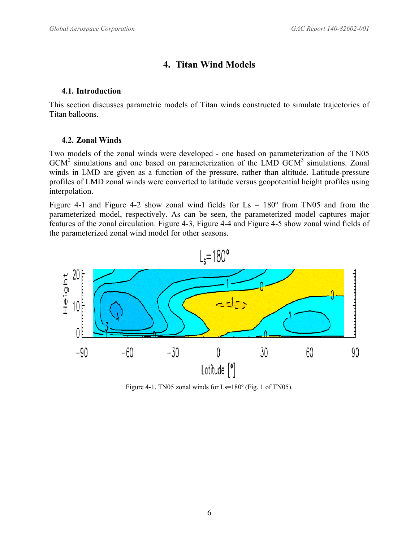# <span id="page-9-1"></span>**4. Titan Wind Models**

#### <span id="page-9-0"></span>**4.1. Introduction**

This section discusses parametric models of Titan winds constructed to simulate trajectories of Titan balloons.

# **4.2. Zonal Winds**

Two models of the zonal winds were developed - one based on parameterization of the TN05  $GCM<sup>2</sup>$  $GCM<sup>2</sup>$  $GCM<sup>2</sup>$  simulations and one based on parameterization of the LMD  $GCM<sup>3</sup>$  $GCM<sup>3</sup>$  $GCM<sup>3</sup>$  simulations. Zonal winds in LMD are given as a function of the pressure, rather than altitude. Latitude-pressure profiles of LMD zonal winds were converted to latitude versus geopotential height profiles using interpolation.

[Figure 4-1](#page-9-2) and [Figure 4-2](#page-10-1) show zonal wind fields for  $Ls = 180^\circ$  from TN05 and from the parameterized model, respectively. As can be seen, the parameterized model captures major features of the zonal circulation. [Figure 4-3,](#page-10-2) [Figure 4-4](#page-10-3) and [Figure 4-5](#page-11-1) show zonal wind fields of the parameterized zonal wind model for other seasons.



<span id="page-9-2"></span>Figure 4-1. TN05 zonal winds for Ls=180º (Fig. 1 of TN05).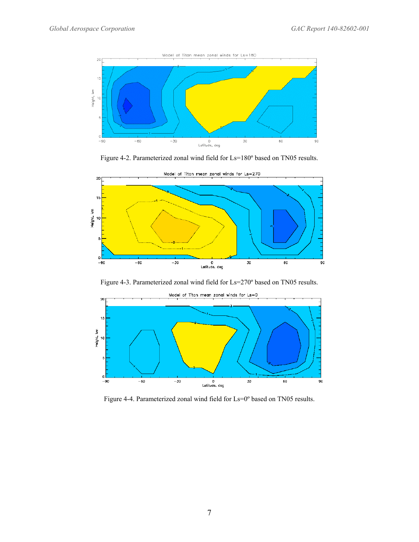<span id="page-10-0"></span>

<span id="page-10-1"></span>Figure 4-2. Parameterized zonal wind field for Ls=180º based on TN05 results.



<span id="page-10-2"></span>Figure 4-3. Parameterized zonal wind field for Ls=270º based on TN05 results.



<span id="page-10-3"></span>Figure 4-4. Parameterized zonal wind field for Ls=0º based on TN05 results.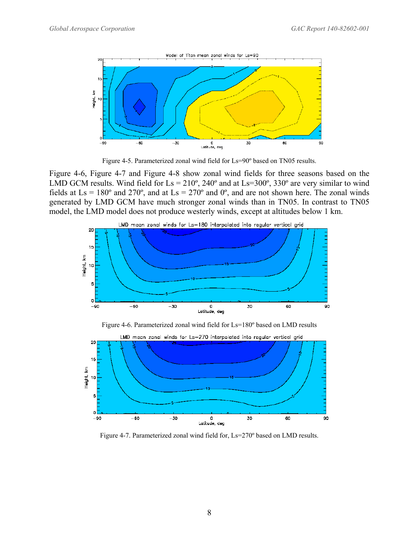<span id="page-11-0"></span>

<span id="page-11-1"></span>Figure 4-5. Parameterized zonal wind field for Ls=90º based on TN05 results.

[Figure 4-6,](#page-11-2) [Figure 4-7](#page-11-3) and [Figure 4-8](#page-12-1) show zonal wind fields for three seasons based on the LMD GCM results. Wind field for  $Ls = 210^{\circ}$ , 240° and at  $Ls = 300^{\circ}$ , 330° are very similar to wind fields at  $\text{Ls} = 180^\circ$  and  $270^\circ$ , and at  $\text{Ls} = 270^\circ$  and  $0^\circ$ , and are not shown here. The zonal winds generated by LMD GCM have much stronger zonal winds than in TN05. In contrast to TN05 model, the LMD model does not produce westerly winds, except at altitudes below 1 km.

<span id="page-11-2"></span>

<span id="page-11-3"></span>Figure 4-7. Parameterized zonal wind field for, Ls=270º based on LMD results.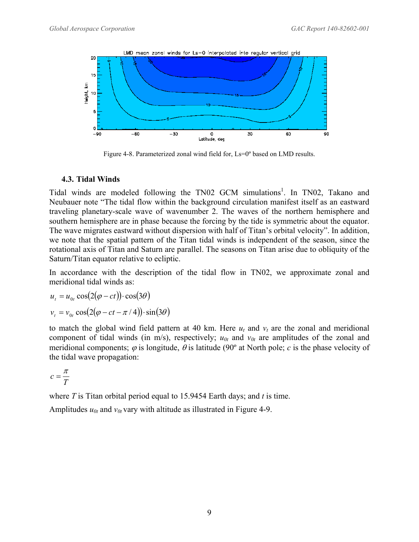<span id="page-12-0"></span>

<span id="page-12-1"></span>Figure 4-8. Parameterized zonal wind field for, Ls=0° based on LMD results.

# **4.3. Tidal Winds**

Tidal winds are modeled following the TN02 GCM simulations<sup>1</sup>. In TN02, Takano and Neubauer note "The tidal flow within the background circulation manifest itself as an eastward traveling planetary-scale wave of wavenumber 2. The waves of the northern hemisphere and southern hemisphere are in phase because the forcing by the tide is symmetric about the equator. The wave migrates eastward without dispersion with half of Titan's orbital velocity". In addition, we note that the spatial pattern of the Titan tidal winds is independent of the season, since the rotational axis of Titan and Saturn are parallel. The seasons on Titan arise due to obliquity of the Saturn/Titan equator relative to ecliptic.

In accordance with the description of the tidal flow in TN02, we approximate zonal and meridional tidal winds as:

$$
u_{t} = u_{0t} \cos(2(\varphi - ct)) \cdot \cos(3\theta)
$$

$$
v_{t} = v_{0t} \cos(2(\varphi - ct - \pi / 4)) \cdot \sin(3\theta)
$$

to match the global wind field pattern at 40 km. Here  $u_t$  and  $v_t$  are the zonal and meridional component of tidal winds (in m/s), respectively;  $u_{0t}$  and  $v_{0t}$  are amplitudes of the zonal and meridional components;  $\varphi$  is longitude,  $\theta$  is latitude (90° at North pole; *c* is the phase velocity of the tidal wave propagation:

$$
c=\frac{\pi}{T}
$$

where *T* is Titan orbital period equal to 15.9454 Earth days; and *t* is time.

Amplitudes  $u_{0t}$  and  $v_{0t}$  vary with altitude as illustrated in [Figure 4-9.](#page-13-1)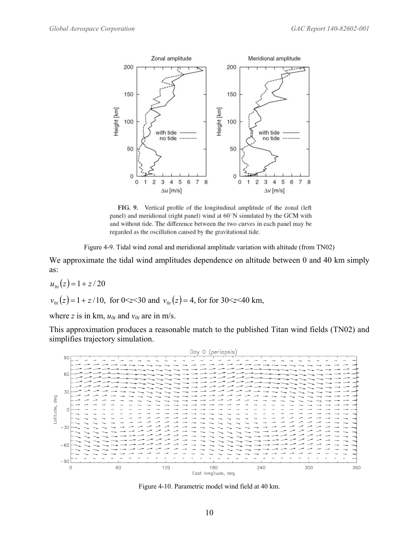<span id="page-13-0"></span>

FIG. 9. Vertical profile of the longitudinal amplitude of the zonal (left panel) and meridional (right panel) wind at 60°N simulated by the GCM with and without tide. The difference between the two curves in each panel may be regarded as the oscillation caused by the gravitational tide.

<span id="page-13-1"></span>Figure 4-9. Tidal wind zonal and meridional amplitude variation with altitude (from TN02)

We approximate the tidal wind amplitudes dependence on altitude between 0 and 40 km simply as:

$$
u_{0t}(z) = 1 + z/20
$$
  
 $v_{0t}(z) = 1 + z/10$ , for 0 < z < 30 and  $v_{0t}(z) = 4$ , for for 30 < z < 40 km,

where *z* is in km,  $u_{0t}$  and  $v_{0t}$  are in m/s.

This approximation produces a reasonable match to the published Titan wind fields (TN02) and simplifies trajectory simulation.



<span id="page-13-2"></span>Figure 4-10. Parametric model wind field at 40 km.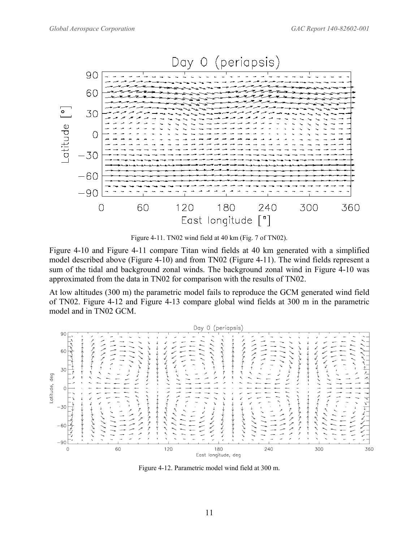<span id="page-14-0"></span>

<span id="page-14-1"></span>Figure 4-11. TN02 wind field at 40 km (Fig. 7 of TN02).

[Figure 4-10](#page-13-2) and [Figure 4-11](#page-14-1) compare Titan wind fields at 40 km generated with a simplified model described above [\(Figure 4-10\)](#page-13-2) and from TN02 [\(Figure 4-11\)](#page-14-1). The wind fields represent a sum of the tidal and background zonal winds. The background zonal wind in [Figure 4-10](#page-13-2) was approximated from the data in TN02 for comparison with the results of TN02.

At low altitudes (300 m) the parametric model fails to reproduce the GCM generated wind field of TN02. [Figure 4-12](#page-14-2) and [Figure 4-13](#page-15-1) compare global wind fields at 300 m in the parametric model and in TN02 GCM.



<span id="page-14-2"></span>Figure 4-12. Parametric model wind field at 300 m.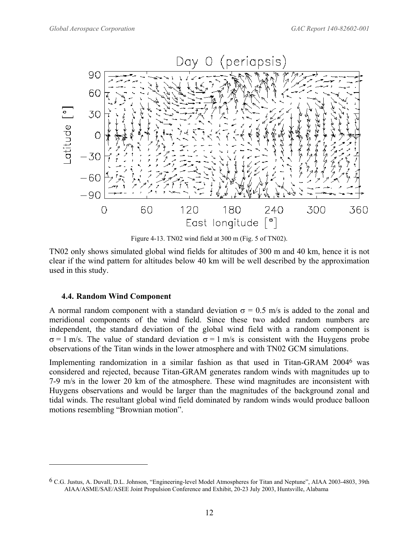<span id="page-15-0"></span>

<span id="page-15-1"></span>Figure 4-13. TN02 wind field at 300 m (Fig. 5 of TN02).

TN02 only shows simulated global wind fields for altitudes of 300 m and 40 km, hence it is not clear if the wind pattern for altitudes below 40 km will be well described by the approximation used in this study.

#### **4.4. Random Wind Component**

 $\overline{a}$ 

A normal random component with a standard deviation  $\sigma = 0.5$  m/s is added to the zonal and meridional components of the wind field. Since these two added random numbers are independent, the standard deviation of the global wind field with a random component is  $σ = 1$  m/s. The value of standard deviation  $σ = 1$  m/s is consistent with the Huygens probe observations of the Titan winds in the lower atmosphere and with TN02 GCM simulations.

Implementing randomization in a similar fashion as that used in Titan-GRAM 2004[6](#page-15-2) was considered and rejected, because Titan-GRAM generates random winds with magnitudes up to 7-9 m/s in the lower 20 km of the atmosphere. These wind magnitudes are inconsistent with Huygens observations and would be larger than the magnitudes of the background zonal and tidal winds. The resultant global wind field dominated by random winds would produce balloon motions resembling "Brownian motion".

<span id="page-15-2"></span><sup>6</sup> C.G. Justus, A. Duvall, D.L. Johnson, "Engineering-level Model Atmospheres for Titan and Neptune", AIAA 2003-4803, 39th AIAA/ASME/SAE/ASEE Joint Propulsion Conference and Exhibit, 20-23 July 2003, Huntsville, Alabama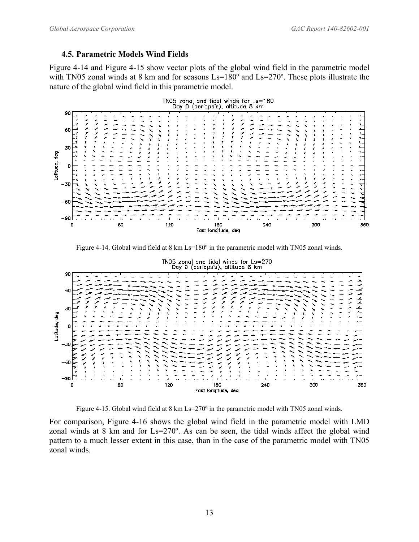#### <span id="page-16-0"></span>**4.5. Parametric Models Wind Fields**

[Figure 4-14](#page-16-1) and [Figure 4-15](#page-16-2) show vector plots of the global wind field in the parametric model with TN05 zonal winds at 8 km and for seasons Ls=180° and Ls=270°. These plots illustrate the nature of the global wind field in this parametric model.



<span id="page-16-1"></span>Figure 4-14. Global wind field at 8 km Ls=180° in the parametric model with TN05 zonal winds.



<span id="page-16-2"></span>Figure 4-15. Global wind field at 8 km Ls=270° in the parametric model with TN05 zonal winds.

For comparison, [Figure 4-16](#page-17-1) shows the global wind field in the parametric model with LMD zonal winds at 8 km and for Ls=270º. As can be seen, the tidal winds affect the global wind pattern to a much lesser extent in this case, than in the case of the parametric model with TN05 zonal winds.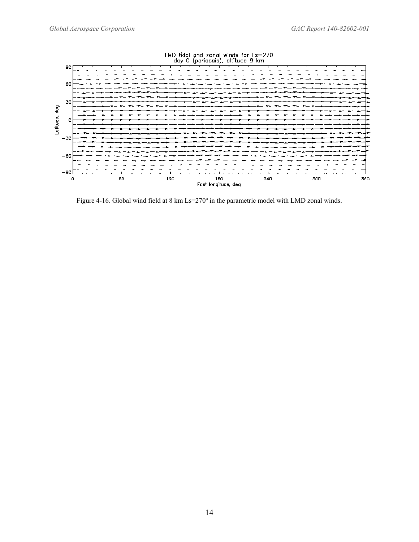<span id="page-17-0"></span>

<span id="page-17-1"></span>Figure 4-16. Global wind field at 8 km Ls=270° in the parametric model with LMD zonal winds.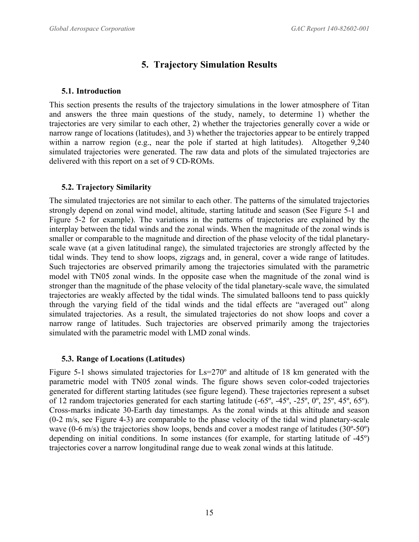# **5. Trajectory Simulation Results**

#### <span id="page-18-0"></span>**5.1. Introduction**

This section presents the results of the trajectory simulations in the lower atmosphere of Titan and answers the three main questions of the study, namely, to determine 1) whether the trajectories are very similar to each other, 2) whether the trajectories generally cover a wide or narrow range of locations (latitudes), and 3) whether the trajectories appear to be entirely trapped within a narrow region (e.g., near the pole if started at high latitudes). Altogether 9,240 simulated trajectories were generated. The raw data and plots of the simulated trajectories are delivered with this report on a set of 9 CD-ROMs.

# **5.2. Trajectory Similarity**

The simulated trajectories are not similar to each other. The patterns of the simulated trajectories strongly depend on zonal wind model, altitude, starting latitude and season (See [Figure 5-1](#page-19-1) and [Figure 5-2](#page-19-2) for example). The variations in the patterns of trajectories are explained by the interplay between the tidal winds and the zonal winds. When the magnitude of the zonal winds is smaller or comparable to the magnitude and direction of the phase velocity of the tidal planetaryscale wave (at a given latitudinal range), the simulated trajectories are strongly affected by the tidal winds. They tend to show loops, zigzags and, in general, cover a wide range of latitudes. Such trajectories are observed primarily among the trajectories simulated with the parametric model with TN05 zonal winds. In the opposite case when the magnitude of the zonal wind is stronger than the magnitude of the phase velocity of the tidal planetary-scale wave, the simulated trajectories are weakly affected by the tidal winds. The simulated balloons tend to pass quickly through the varying field of the tidal winds and the tidal effects are "averaged out" along simulated trajectories. As a result, the simulated trajectories do not show loops and cover a narrow range of latitudes. Such trajectories are observed primarily among the trajectories simulated with the parametric model with LMD zonal winds.

# **5.3. Range of Locations (Latitudes)**

[Figure 5-1](#page-19-1) shows simulated trajectories for Ls=270º and altitude of 18 km generated with the parametric model with TN05 zonal winds. The figure shows seven color-coded trajectories generated for different starting latitudes (see figure legend). These trajectories represent a subset of 12 random trajectories generated for each starting latitude (-65º, -45º, -25º, 0º, 25º, 45º, 65º). Cross-marks indicate 30-Earth day timestamps. As the zonal winds at this altitude and season (0-2 m/s, see [Figure 4-3\)](#page-10-2) are comparable to the phase velocity of the tidal wind planetary-scale wave (0-6 m/s) the trajectories show loops, bends and cover a modest range of latitudes (30º-50º) depending on initial conditions. In some instances (for example, for starting latitude of -45º) trajectories cover a narrow longitudinal range due to weak zonal winds at this latitude.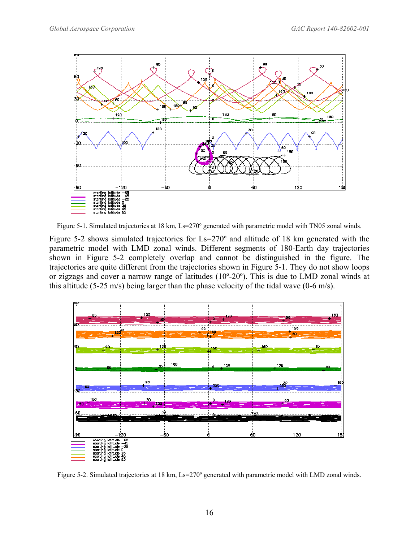<span id="page-19-0"></span>

<span id="page-19-1"></span>Figure 5-1. Simulated trajectories at 18 km, Ls=270° generated with parametric model with TN05 zonal winds.

[Figure 5-2](#page-19-2) shows simulated trajectories for Ls=270º and altitude of 18 km generated with the parametric model with LMD zonal winds. Different segments of 180-Earth day trajectories shown in [Figure 5-2](#page-19-2) completely overlap and cannot be distinguished in the figure. The trajectories are quite different from the trajectories shown in [Figure 5-1.](#page-19-1) They do not show loops or zigzags and cover a narrow range of latitudes (10º-20º). This is due to LMD zonal winds at this altitude (5-25 m/s) being larger than the phase velocity of the tidal wave (0-6 m/s).



<span id="page-19-2"></span>Figure 5-2. Simulated trajectories at 18 km, Ls=270° generated with parametric model with LMD zonal winds.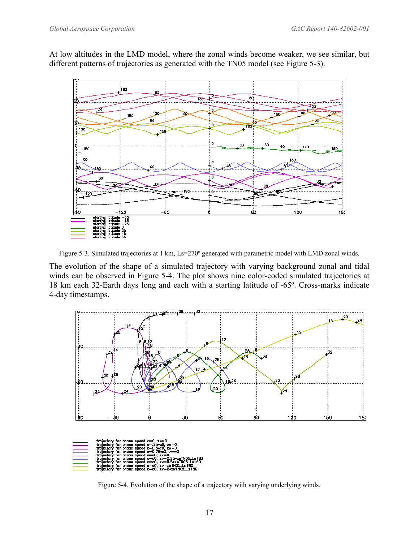<span id="page-20-0"></span>At low altitudes in the LMD model, where the zonal winds become weaker, we see similar, but different patterns of trajectories as generated with the TN05 model (see [Figure 5-3\)](#page-20-1).



<span id="page-20-1"></span>Figure 5-3. Simulated trajectories at 1 km, Ls=270° generated with parametric model with LMD zonal winds.

The evolution of the shape of a simulated trajectory with varying background zonal and tidal winds can be observed in [Figure 5-4.](#page-20-2) The plot shows nine color-coded simulated trajectories at 18 km each 32-Earth days long and each with a starting latitude of -65º. Cross-marks indicate 4-day timestamps.



<span id="page-20-2"></span>Figure 5-4. Evolution of the shape of a trajectory with varying underlying winds.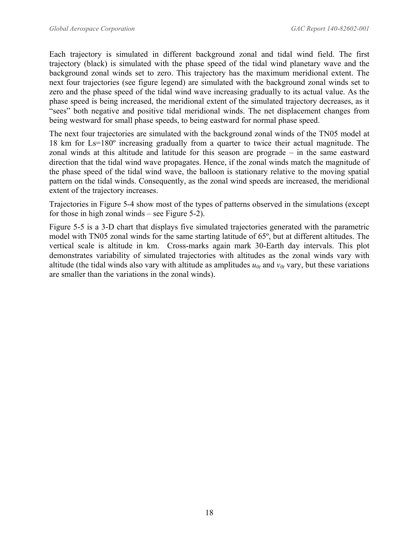Each trajectory is simulated in different background zonal and tidal wind field. The first trajectory (black) is simulated with the phase speed of the tidal wind planetary wave and the background zonal winds set to zero. This trajectory has the maximum meridional extent. The next four trajectories (see figure legend) are simulated with the background zonal winds set to zero and the phase speed of the tidal wind wave increasing gradually to its actual value. As the phase speed is being increased, the meridional extent of the simulated trajectory decreases, as it "sees" both negative and positive tidal meridional winds. The net displacement changes from being westward for small phase speeds, to being eastward for normal phase speed.

The next four trajectories are simulated with the background zonal winds of the TN05 model at 18 km for Ls=180º increasing gradually from a quarter to twice their actual magnitude. The zonal winds at this altitude and latitude for this season are prograde – in the same eastward direction that the tidal wind wave propagates. Hence, if the zonal winds match the magnitude of the phase speed of the tidal wind wave, the balloon is stationary relative to the moving spatial pattern on the tidal winds. Consequently, as the zonal wind speeds are increased, the meridional extent of the trajectory increases.

Trajectories in [Figure 5-4](#page-20-2) show most of the types of patterns observed in the simulations (except for those in high zonal winds – see [Figure 5-2\)](#page-19-2).

[Figure 5-5](#page-22-1) is a 3-D chart that displays five simulated trajectories generated with the parametric model with TN05 zonal winds for the same starting latitude of 65º, but at different altitudes. The vertical scale is altitude in km. Cross-marks again mark 30-Earth day intervals. This plot demonstrates variability of simulated trajectories with altitudes as the zonal winds vary with altitude (the tidal winds also vary with altitude as amplitudes  $u_{0t}$  and  $v_{0t}$  vary, but these variations are smaller than the variations in the zonal winds).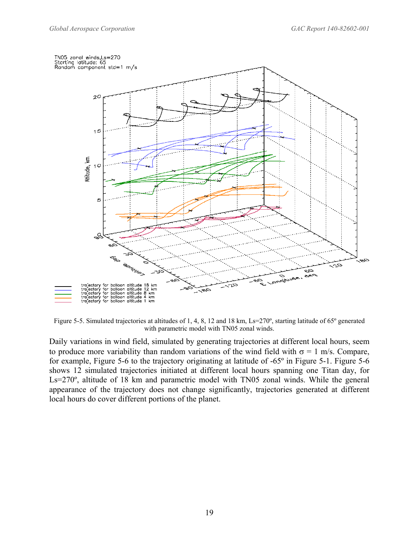<span id="page-22-0"></span>

<span id="page-22-1"></span>Figure 5-5. Simulated trajectories at altitudes of 1, 4, 8, 12 and 18 km, Ls=270°, starting latitude of 65° generated with parametric model with TN05 zonal winds.

Daily variations in wind field, simulated by generating trajectories at different local hours, seem to produce more variability than random variations of the wind field with  $\sigma = 1$  m/s. Compare, for example, [Figure 5-6](#page-23-1) to the trajectory originating at latitude of -65º in [Figure 5-1.](#page-19-1) [Figure 5-6](#page-23-1)  shows 12 simulated trajectories initiated at different local hours spanning one Titan day, for Ls=270°, altitude of 18 km and parametric model with TN05 zonal winds. While the general appearance of the trajectory does not change significantly, trajectories generated at different local hours do cover different portions of the planet.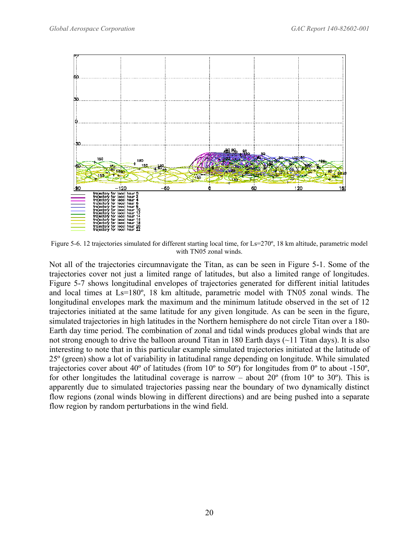<span id="page-23-0"></span>

<span id="page-23-1"></span>Figure 5-6. 12 trajectories simulated for different starting local time, for Ls=270º, 18 km altitude, parametric model with TN05 zonal winds.

Not all of the trajectories circumnavigate the Titan, as can be seen in [Figure 5-1.](#page-19-1) Some of the trajectories cover not just a limited range of latitudes, but also a limited range of longitudes. [Figure 5-7](#page-24-1) shows longitudinal envelopes of trajectories generated for different initial latitudes and local times at Ls=180º, 18 km altitude, parametric model with TN05 zonal winds. The longitudinal envelopes mark the maximum and the minimum latitude observed in the set of 12 trajectories initiated at the same latitude for any given longitude. As can be seen in the figure, simulated trajectories in high latitudes in the Northern hemisphere do not circle Titan over a 180- Earth day time period. The combination of zonal and tidal winds produces global winds that are not strong enough to drive the balloon around Titan in 180 Earth days (~11 Titan days). It is also interesting to note that in this particular example simulated trajectories initiated at the latitude of 25º (green) show a lot of variability in latitudinal range depending on longitude. While simulated trajectories cover about 40º of latitudes (from 10º to 50º) for longitudes from 0º to about -150º, for other longitudes the latitudinal coverage is narrow – about  $20^{\circ}$  (from  $10^{\circ}$  to  $30^{\circ}$ ). This is apparently due to simulated trajectories passing near the boundary of two dynamically distinct flow regions (zonal winds blowing in different directions) and are being pushed into a separate flow region by random perturbations in the wind field.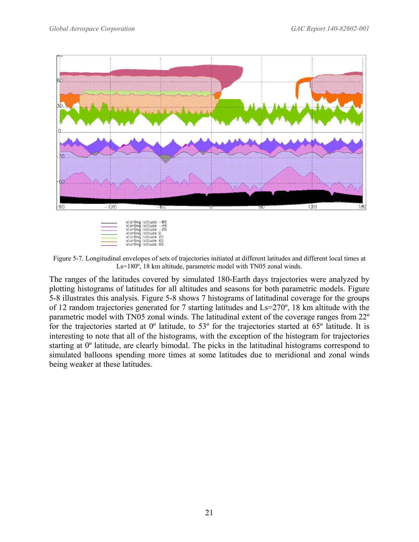<span id="page-24-0"></span>

<span id="page-24-1"></span>Figure 5-7. Longitudinal envelopes of sets of trajectories initiated at different latitudes and different local times at Ls=180º, 18 km altitude, parametric model with TN05 zonal winds.

The ranges of the latitudes covered by simulated 180-Earth days trajectories were analyzed by plotting histograms of latitudes for all altitudes and seasons for both parametric models. [Figure](#page-25-1)  [5-8](#page-25-1) illustrates this analysis. [Figure 5-8](#page-25-1) shows 7 histograms of latitudinal coverage for the groups of 12 random trajectories generated for 7 starting latitudes and Ls=270º, 18 km altitude with the parametric model with TN05 zonal winds. The latitudinal extent of the coverage ranges from 22º for the trajectories started at 0º latitude, to 53º for the trajectories started at 65º latitude. It is interesting to note that all of the histograms, with the exception of the histogram for trajectories starting at 0º latitude, are clearly bimodal. The picks in the latitudinal histograms correspond to simulated balloons spending more times at some latitudes due to meridional and zonal winds being weaker at these latitudes.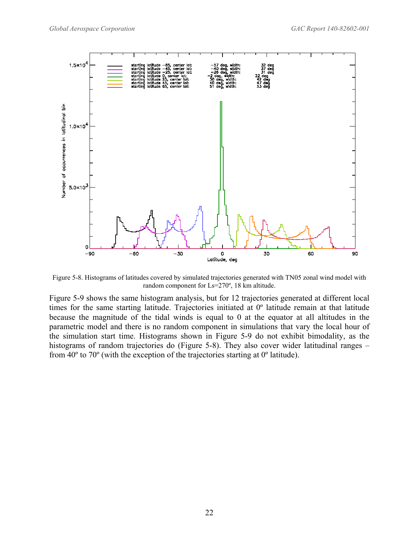<span id="page-25-0"></span>

<span id="page-25-1"></span>Figure 5-8. Histograms of latitudes covered by simulated trajectories generated with TN05 zonal wind model with random component for Ls=270º, 18 km altitude.

[Figure 5-9](#page-26-1) shows the same histogram analysis, but for 12 trajectories generated at different local times for the same starting latitude. Trajectories initiated at 0º latitude remain at that latitude because the magnitude of the tidal winds is equal to 0 at the equator at all altitudes in the parametric model and there is no random component in simulations that vary the local hour of the simulation start time. Histograms shown in [Figure 5-9](#page-26-1) do not exhibit bimodality, as the histograms of random trajectories do [\(Figure 5-8\)](#page-25-1). They also cover wider latitudinal ranges – from 40º to 70º (with the exception of the trajectories starting at 0º latitude).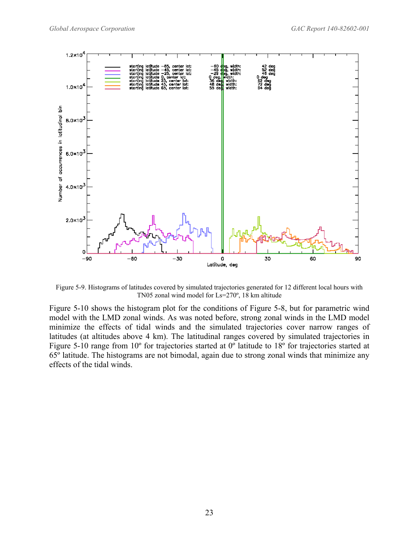<span id="page-26-0"></span>

<span id="page-26-1"></span>Figure 5-9. Histograms of latitudes covered by simulated trajectories generated for 12 different local hours with TN05 zonal wind model for Ls=270º, 18 km altitude

[Figure 5-10](#page-27-1) shows the histogram plot for the conditions of [Figure 5-8,](#page-25-1) but for parametric wind model with the LMD zonal winds. As was noted before, strong zonal winds in the LMD model minimize the effects of tidal winds and the simulated trajectories cover narrow ranges of latitudes (at altitudes above 4 km). The latitudinal ranges covered by simulated trajectories in [Figure 5-10](#page-27-1) range from 10<sup>°</sup> for trajectories started at 0<sup>°</sup> latitude to 18<sup>°</sup> for trajectories started at 65º latitude. The histograms are not bimodal, again due to strong zonal winds that minimize any effects of the tidal winds.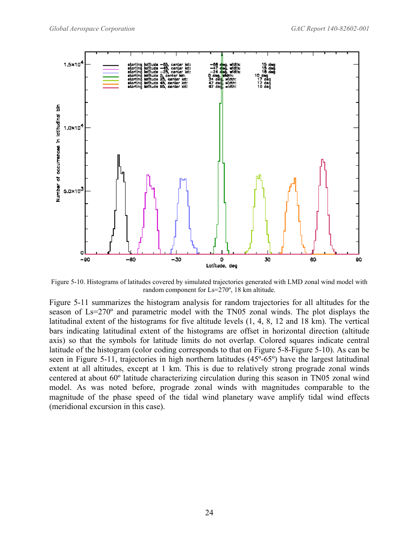<span id="page-27-0"></span>

<span id="page-27-1"></span>Figure 5-10. Histograms of latitudes covered by simulated trajectories generated with LMD zonal wind model with random component for Ls=270º, 18 km altitude.

[Figure 5-11](#page-28-1) summarizes the histogram analysis for random trajectories for all altitudes for the season of Ls=270º and parametric model with the TN05 zonal winds. The plot displays the latitudinal extent of the histograms for five altitude levels (1, 4, 8, 12 and 18 km). The vertical bars indicating latitudinal extent of the histograms are offset in horizontal direction (altitude axis) so that the symbols for latitude limits do not overlap. Colored squares indicate central latitude of the histogram (color coding corresponds to that on [Figure 5-8-](#page-25-1)[Figure 5-10\)](#page-27-1). As can be seen in [Figure 5-11,](#page-28-1) trajectories in high northern latitudes (45º-65º) have the largest latitudinal extent at all altitudes, except at 1 km. This is due to relatively strong prograde zonal winds centered at about 60º latitude characterizing circulation during this season in TN05 zonal wind model. As was noted before, prograde zonal winds with magnitudes comparable to the magnitude of the phase speed of the tidal wind planetary wave amplify tidal wind effects (meridional excursion in this case).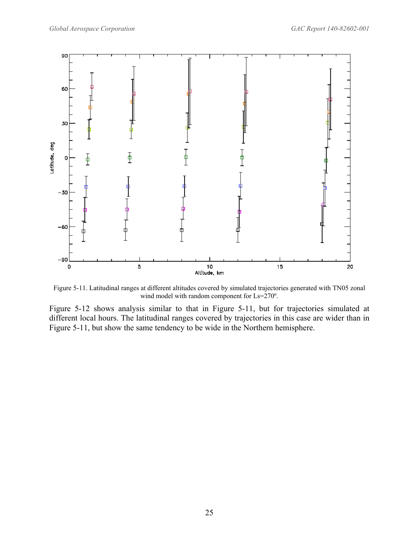<span id="page-28-0"></span>

<span id="page-28-1"></span>Figure 5-11. Latitudinal ranges at different altitudes covered by simulated trajectories generated with TN05 zonal wind model with random component for Ls=270º.

[Figure 5-12](#page-29-1) shows analysis similar to that in [Figure 5-11,](#page-28-1) but for trajectories simulated at different local hours. The latitudinal ranges covered by trajectories in this case are wider than in [Figure 5-11,](#page-28-1) but show the same tendency to be wide in the Northern hemisphere.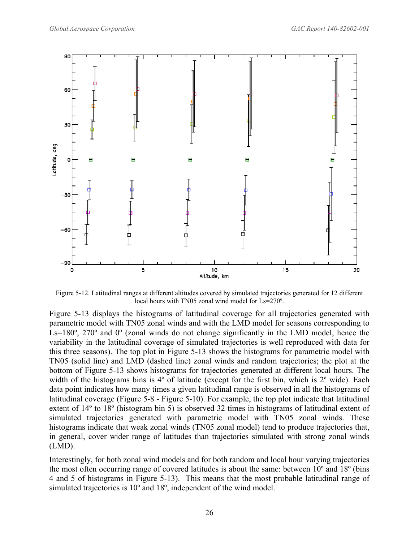<span id="page-29-0"></span>

<span id="page-29-1"></span>Figure 5-12. Latitudinal ranges at different altitudes covered by simulated trajectories generated for 12 different local hours with TN05 zonal wind model for Ls=270º.

[Figure 5-13](#page-30-1) displays the histograms of latitudinal coverage for all trajectories generated with parametric model with TN05 zonal winds and with the LMD model for seasons corresponding to Ls=180<sup>°</sup>, 270<sup>°</sup> and 0<sup>°</sup> (zonal winds do not change significantly in the LMD model, hence the variability in the latitudinal coverage of simulated trajectories is well reproduced with data for this three seasons). The top plot in [Figure 5-13](#page-30-1) shows the histograms for parametric model with TN05 (solid line) and LMD (dashed line) zonal winds and random trajectories; the plot at the bottom of [Figure 5-13](#page-30-1) shows histograms for trajectories generated at different local hours. The width of the histograms bins is 4<sup>°</sup> of latitude (except for the first bin, which is 2<sup>°</sup> wide). Each data point indicates how many times a given latitudinal range is observed in all the histograms of latitudinal coverage [\(Figure 5-8](#page-25-1) - [Figure 5-10\)](#page-27-1). For example, the top plot indicate that latitudinal extent of 14º to 18º (histogram bin 5) is observed 32 times in histograms of latitudinal extent of simulated trajectories generated with parametric model with TN05 zonal winds. These histograms indicate that weak zonal winds (TN05 zonal model) tend to produce trajectories that, in general, cover wider range of latitudes than trajectories simulated with strong zonal winds (LMD).

Interestingly, for both zonal wind models and for both random and local hour varying trajectories the most often occurring range of covered latitudes is about the same: between 10º and 18º (bins 4 and 5 of histograms in [Figure 5-13\)](#page-30-1). This means that the most probable latitudinal range of simulated trajectories is 10º and 18º, independent of the wind model.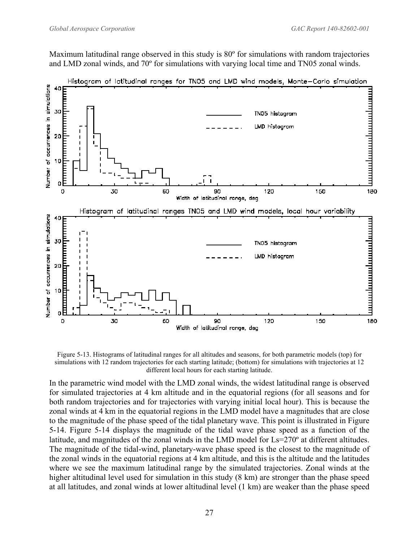<span id="page-30-0"></span>Maximum latitudinal range observed in this study is 80º for simulations with random trajectories and LMD zonal winds, and 70º for simulations with varying local time and TN05 zonal winds.



Histogram of latitudinal ranges for TN05 and LMD wind models, Monte-Carlo simulation

<span id="page-30-1"></span>Figure 5-13. Histograms of latitudinal ranges for all altitudes and seasons, for both parametric models (top) for simulations with 12 random trajectories for each starting latitude; (bottom) for simulations with trajectories at 12 different local hours for each starting latitude.

In the parametric wind model with the LMD zonal winds, the widest latitudinal range is observed for simulated trajectories at 4 km altitude and in the equatorial regions (for all seasons and for both random trajectories and for trajectories with varying initial local hour). This is because the zonal winds at 4 km in the equatorial regions in the LMD model have a magnitudes that are close to the magnitude of the phase speed of the tidal planetary wave. This point is illustrated in [Figure](#page-31-1)  [5-14.](#page-31-1) [Figure 5-14](#page-31-1) displays the magnitude of the tidal wave phase speed as a function of the latitude, and magnitudes of the zonal winds in the LMD model for Ls=270º at different altitudes. The magnitude of the tidal-wind, planetary-wave phase speed is the closest to the magnitude of the zonal winds in the equatorial regions at 4 km altitude, and this is the altitude and the latitudes where we see the maximum latitudinal range by the simulated trajectories. Zonal winds at the higher altitudinal level used for simulation in this study (8 km) are stronger than the phase speed at all latitudes, and zonal winds at lower altitudinal level (1 km) are weaker than the phase speed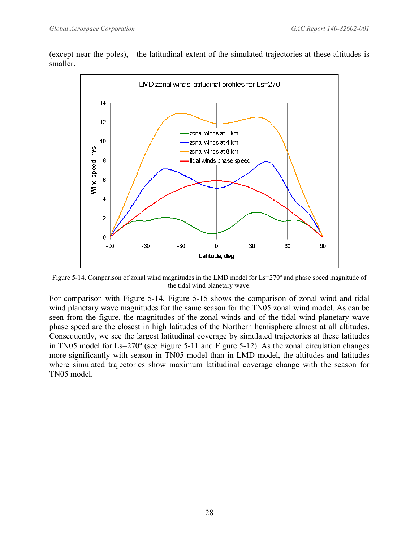<span id="page-31-0"></span>(except near the poles), - the latitudinal extent of the simulated trajectories at these altitudes is smaller.



<span id="page-31-1"></span>Figure 5-14. Comparison of zonal wind magnitudes in the LMD model for Ls=270° and phase speed magnitude of the tidal wind planetary wave.

For comparison with [Figure 5-14,](#page-31-1) [Figure 5-15](#page-32-1) shows the comparison of zonal wind and tidal wind planetary wave magnitudes for the same season for the TN05 zonal wind model. As can be seen from the figure, the magnitudes of the zonal winds and of the tidal wind planetary wave phase speed are the closest in high latitudes of the Northern hemisphere almost at all altitudes. Consequently, we see the largest latitudinal coverage by simulated trajectories at these latitudes in TN05 model for Ls=270º (see [Figure 5-11](#page-28-1) and [Figure 5-12\)](#page-29-1). As the zonal circulation changes more significantly with season in TN05 model than in LMD model, the altitudes and latitudes where simulated trajectories show maximum latitudinal coverage change with the season for TN05 model.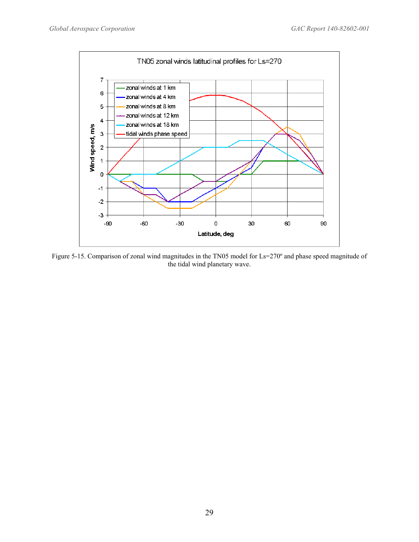<span id="page-32-0"></span>

<span id="page-32-1"></span>Figure 5-15. Comparison of zonal wind magnitudes in the TN05 model for Ls=270° and phase speed magnitude of the tidal wind planetary wave.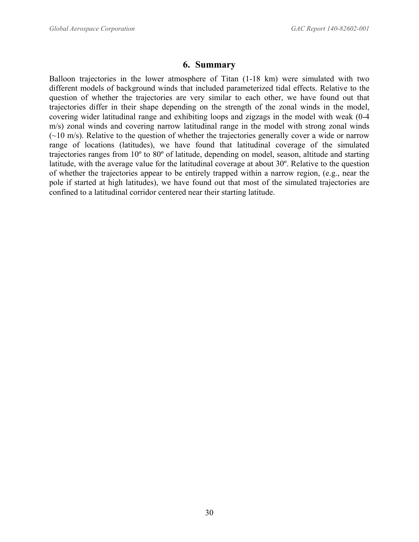# **6. Summary**

<span id="page-33-0"></span>Balloon trajectories in the lower atmosphere of Titan (1-18 km) were simulated with two different models of background winds that included parameterized tidal effects. Relative to the question of whether the trajectories are very similar to each other, we have found out that trajectories differ in their shape depending on the strength of the zonal winds in the model, covering wider latitudinal range and exhibiting loops and zigzags in the model with weak (0-4 m/s) zonal winds and covering narrow latitudinal range in the model with strong zonal winds  $(-10 \text{ m/s})$ . Relative to the question of whether the trajectories generally cover a wide or narrow range of locations (latitudes), we have found that latitudinal coverage of the simulated trajectories ranges from 10º to 80º of latitude, depending on model, season, altitude and starting latitude, with the average value for the latitudinal coverage at about 30º. Relative to the question of whether the trajectories appear to be entirely trapped within a narrow region, (e.g., near the pole if started at high latitudes), we have found out that most of the simulated trajectories are confined to a latitudinal corridor centered near their starting latitude.